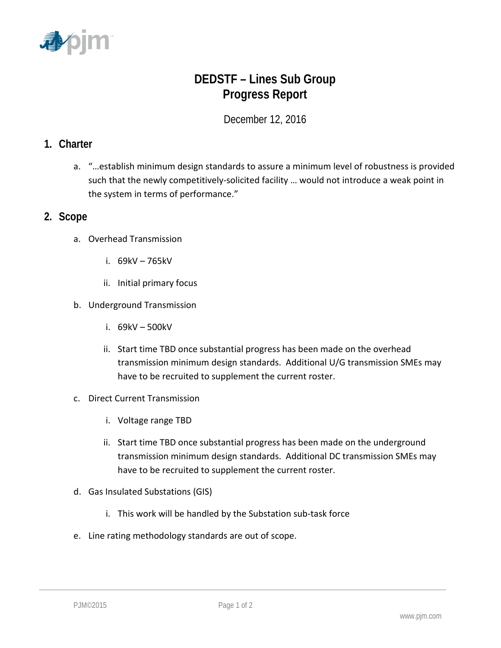

## **DEDSTF – Lines Sub Group Progress Report**

December 12, 2016

## **1. Charter**

a. "…establish minimum design standards to assure a minimum level of robustness is provided such that the newly competitively-solicited facility … would not introduce a weak point in the system in terms of performance."

## **2. Scope**

- a. Overhead Transmission
	- i. 69kV 765kV
	- ii. Initial primary focus
- b. Underground Transmission
	- i. 69kV 500kV
	- ii. Start time TBD once substantial progress has been made on the overhead transmission minimum design standards. Additional U/G transmission SMEs may have to be recruited to supplement the current roster.
- c. Direct Current Transmission
	- i. Voltage range TBD
	- ii. Start time TBD once substantial progress has been made on the underground transmission minimum design standards. Additional DC transmission SMEs may have to be recruited to supplement the current roster.
- d. Gas Insulated Substations (GIS)
	- i. This work will be handled by the Substation sub-task force
- e. Line rating methodology standards are out of scope.